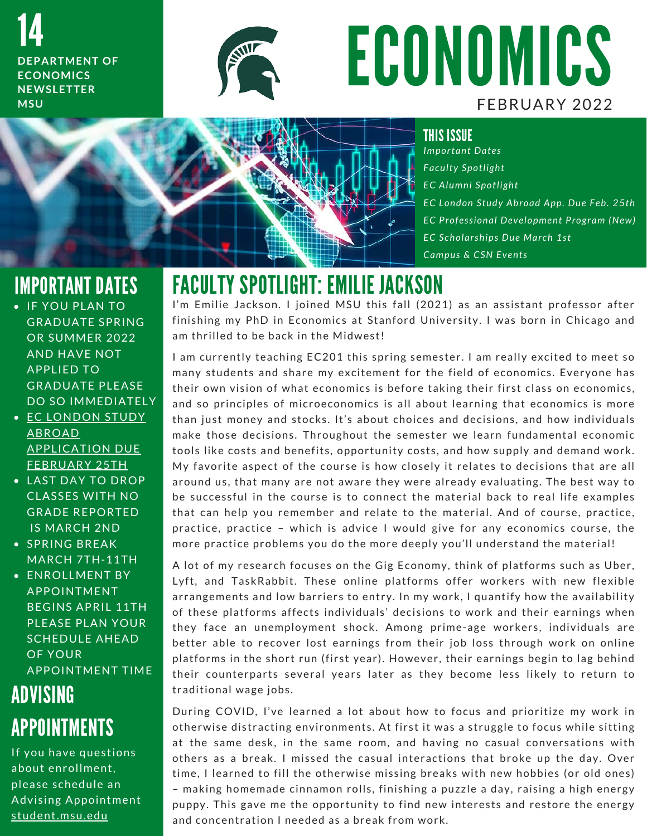14 **DEPARTMENT OF ECONOMICS N E W S L E T T E R M S U**



# ECONOMICS FEBRUARY 2022



*I m p o r t a n t D a t e s F a c u l t y S p o t l i g h t E C A l u m n i S p o t l i g h t E C L o n d o n S t u d y A b r o a d A p p . D u e F e b . 2 5 t h EC Professional Development Program (New) E C S c h o l a r s h i p s D u e M a r c h 1 s t Campus & CSN Events* 

### IMPORTANT DATES

- **IF YOU PLAN TO GRADUATE SPRING OR SUMMER 2022** AND HAVE NOT **APPLIED TO GRADUATE PLEASE** DO SO IMMEDIATELY
- · EC LONDON STUDY A B R O A D **APPLICATION DUE** FEBRUARY 25TH
- LAST DAY TO DROP **CLASSES WITH NO GRADE REPORTED IS MARCH 2ND**
- SPRING BREAK MARCH 7TH-11TH
- **ENROLLMENT BY APPOINTMENT BEGINS APRIL 11TH** PLEASE PLAN YOUR SCHEDULE AHEAD OF YOUR **APPOINTMENT TIME**

## ADVISING APPOINTMENTS

If you have questions about enrollment, please schedule an Advising Appointment student.msu.edu

FACULTY SPOTLIGHT: EMILIE JACKSON<br>I'm Emilie Jackson. I joined MSU this fall (2021) as an assistant professor after I'm Emilie Jackson. I joined MSU this fall (2021) as an assistant professor after finishing my PhD in Economics at Stanford University. I was born in Chicago and am thrilled to be back in the Midwest! finishing my PhD in Economics at Stanford University. I was born in Chicago and

am thrilled to be back in the Midwest!<br>I am currently teaching EC201 this spring semester. I am really excited to meet so I am currently teaching EC201 this spring semester. I am really excited to meet so<br>many students and share my excitement for the field of economics. Everyone has I am currently teaching EC201 this spring semester. I am really excited to meet so<br>many students and share my excitement for the field of economics. Everyone has<br>their own vision of what economics is before taking their fi many students and share my excitement for the field of economics. Everyone has<br>their own vision of what economics is before taking their first class on economics,<br>and so principles of microeconomics is all about learning t and so principles of microeconomics is all about learning that economics is more<br>than just money and stocks. It's about choices and decisions, and how individuals make those decisions. Throughout the semester we learn fundamental economic tools like costs and benefits, opportunity costs, and how supply and demand work. make those decisions. Throughout the semester we learn fundamental economic<br>tools like costs and benefits, opportunity costs, and how supply and demand work.<br>My favorite aspect of the course is how closely it relates to de tools like costs and benefits, opportunity costs, and how supply and demand work.<br>My favorite aspect of the course is how closely it relates to decisions that are all<br>around us, that many are not aware they were already ev My tavorite aspect of the course is how closely it relates to decisions that are all<br>around us, that many are not aware they were already evaluating. The best way to<br>be successful in the course is to connect the material b around us, that many are not aware they were already evaluating. The best way to<br>be successful in the course is to connect the material back to real life examples<br>that can help you remember and relate to the material. And be successtul in the course is to connect the material back to real lite examples<br>that can help you remember and relate to the material. And of course, practice,<br>practice, practice – which is advice I would give for any ec that can help you remember and relate to the material. And of course, practice<br>practice, practice – which is advice I would give for any economics course, th<br>more practice problems you do the more deeply you'll understand

more practice problems you do the more deeply you'll understand the material!<br>A lot of my research focuses on the Gig Economy, think of platforms such as Uber, A lot of my research focuses on the Gig Economy, think of platforms such as Uber,<br>Lyft, and TaskRabbit. These online platforms offer workers with new flexible A lot of my research focuses on the Gig Economy, think of platforms such as Uber,<br>Lyft, and TaskRabbit. These online platforms offer workers with new flexible<br>arrangements and low barriers to entry. In my work, I quantify Lytt, and TaskRabbit. These online plattorms ofter workers with new flexible<br>arrangements and low barriers to entry. In my work, I quantify how the availability<br>of these platforms affects individuals' decisions to work and of these platforms affects individuals' decisions to work and their earnings when<br>they face an unemployment shock. Among prime-age workers, individuals are of these platforms affects individuals' decisions to work and their earnings when<br>they face an unemployment shock. Among prime-age workers, individuals are<br>better able to recover lost earnings from their job loss through w they face an unemployment shock. Among prime-age workers, individuals are<br>better able to recover lost earnings from their job loss through work on online<br>platforms in the short run (first year). However, their earnings beg platforms in the short run (first year). However, their earnings begin to lag behind<br>their counterparts several years later as they become less likely to return to traditional wage jobs.

n and traditional wage jobs.<br>Traditional wage jobs.<br>During COVID, I've learned a lot about how to focus and prioritize my work in o the controlled integrated.<br>During COVID, I've learned a lot about how to focus and prioritize my work in<br>otherwise distracting environments. At first it was a struggle to focus while sitting During COVID, I've learned a lot about how to focus and prioritize my work in<br>otherwise distracting environments. At first it was a struggle to focus while sitting<br>at the same desk, in the same room, and having no casual c otherwise distracting environments. At first it was a struggle to focus while sitting<br>at the same desk, in the same room, and having no casual conversations with<br>others as a break. I missed the casual interactions that bro others as a break. I missed the casual interactions that broke up the day. Over<br>time, I learned to fill the otherwise missing breaks with new hobbies (or old ones) others as a break. I missed the casual interactions that broke up the day. Over<br>time, I learned to fill the otherwise missing breaks with new hobbies (or old ones)<br>– making homemade cinnamon rolls, finishing a puzzle a day time, I learned to fill the otherwise missing breaks with new hobbies (or old ones)<br>– making homemade cinnamon rolls, finishing a puzzle a day, raising a high energy<br>puppy. This gave me the opportunity to find new interest puppy. This gave me the opportunity to find new interests and restore the energy<br>and concentration I needed as a break from work.